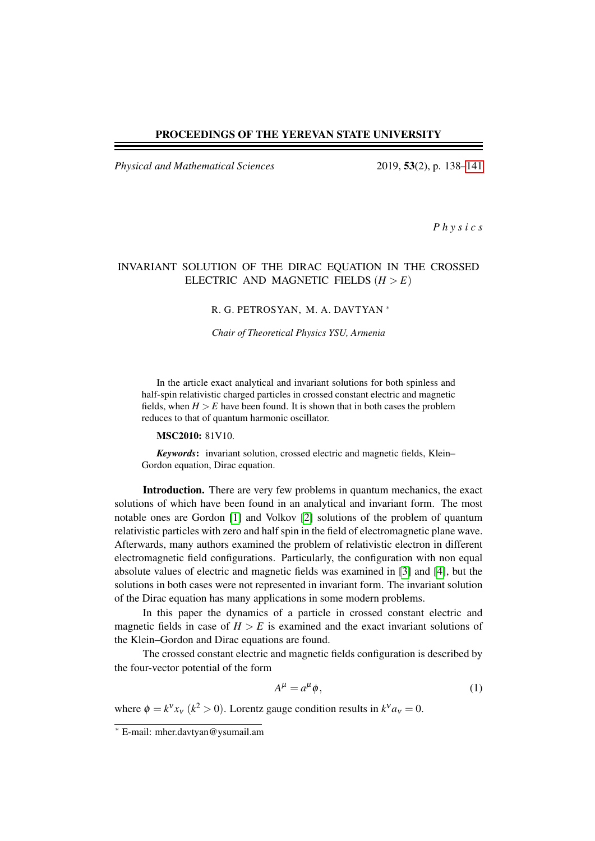### PROCEEDINGS OF THE YEREVAN STATE UNIVERSITY

*Physical and Mathematical Sciences* 2019, 53(2), p. 138[–141](#page-3-0)

*P h y s i c s*

# INVARIANT SOLUTION OF THE DIRAC EQUATION IN THE CROSSED ELECTRIC AND MAGNETIC FIELDS  $(H > E)$

#### R. G. PETROSYAN, M. A. DAVTYAN <sup>∗</sup>

*Chair of Theoretical Physics YSU, Armenia*

In the article exact analytical and invariant solutions for both spinless and half-spin relativistic charged particles in crossed constant electric and magnetic fields, when  $H > E$  have been found. It is shown that in both cases the problem reduces to that of quantum harmonic oscillator.

#### MSC2010: 81V10.

*Keywords*: invariant solution, crossed electric and magnetic fields, Klein– Gordon equation, Dirac equation.

Introduction. There are very few problems in quantum mechanics, the exact solutions of which have been found in an analytical and invariant form. The most notable ones are Gordon [\[1\]](#page-3-1) and Volkov [\[2\]](#page-3-2) solutions of the problem of quantum relativistic particles with zero and half spin in the field of electromagnetic plane wave. Afterwards, many authors examined the problem of relativistic electron in different electromagnetic field configurations. Particularly, the configuration with non equal absolute values of electric and magnetic fields was examined in [\[3\]](#page-3-3) and [\[4\]](#page-3-4), but the solutions in both cases were not represented in invariant form. The invariant solution of the Dirac equation has many applications in some modern problems.

In this paper the dynamics of a particle in crossed constant electric and magnetic fields in case of  $H > E$  is examined and the exact invariant solutions of the Klein–Gordon and Dirac equations are found.

The crossed constant electric and magnetic fields configuration is described by the four-vector potential of the form

$$
A^{\mu} = a^{\mu} \phi, \tag{1}
$$

where  $\phi = k^v x_v$  ( $k^2 > 0$ ). Lorentz gauge condition results in  $k^v a_v = 0$ .

<sup>∗</sup> E-mail: mher.davtyan@ysumail.am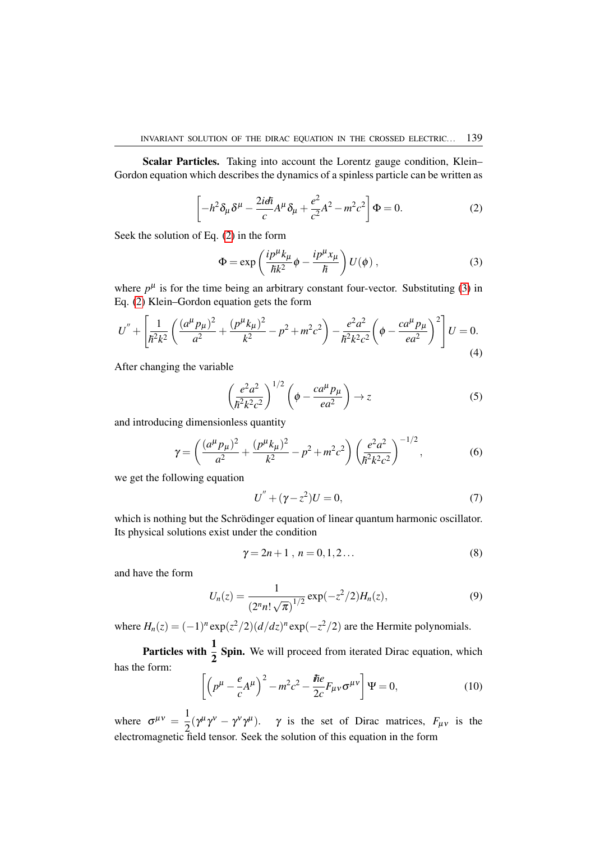Scalar Particles. Taking into account the Lorentz gauge condition, Klein– Gordon equation which describes the dynamics of a spinless particle can be written as

<span id="page-1-0"></span>
$$
\left[-h^2 \delta_\mu \delta^\mu - \frac{2i\epsilon \hbar}{c} A^\mu \delta_\mu + \frac{e^2}{c^2} A^2 - m^2 c^2\right] \Phi = 0. \tag{2}
$$

Seek the solution of Eq. [\(2\)](#page-1-0) in the form

<span id="page-1-1"></span>
$$
\Phi = \exp\left(\frac{ip^{\mu}k_{\mu}}{\hbar k^2}\phi - \frac{ip^{\mu}x_{\mu}}{\hbar}\right)U(\phi) ,
$$
 (3)

where  $p^{\mu}$  is for the time being an arbitrary constant four-vector. Substituting [\(3\)](#page-1-1) in Eq. [\(2\)](#page-1-0) Klein–Gordon equation gets the form

$$
U'' + \left[ \frac{1}{\hbar^2 k^2} \left( \frac{(a^\mu p_\mu)^2}{a^2} + \frac{(p^\mu k_\mu)^2}{k^2} - p^2 + m^2 c^2 \right) - \frac{e^2 a^2}{\hbar^2 k^2 c^2} \left( \phi - \frac{ca^\mu p_\mu}{ea^2} \right)^2 \right] U = 0.
$$
\n(4)

After changing the variable

<span id="page-1-3"></span>
$$
\left(\frac{e^2a^2}{\hbar^2k^2c^2}\right)^{1/2}\left(\phi-\frac{ca^{\mu}p_{\mu}}{ea^2}\right)\to z\tag{5}
$$

and introducing dimensionless quantity

$$
\gamma = \left(\frac{(a^{\mu}p_{\mu})^2}{a^2} + \frac{(p^{\mu}k_{\mu})^2}{k^2} - p^2 + m^2c^2\right) \left(\frac{e^2a^2}{h^2k^2c^2}\right)^{-1/2},\tag{6}
$$

we get the following equation

$$
U'' + (\gamma - z^2)U = 0,
$$
\n(7)

which is nothing but the Schrödinger equation of linear quantum harmonic oscillator. Its physical solutions exist under the condition

$$
\gamma = 2n + 1 \ , \ n = 0, 1, 2 \dots \tag{8}
$$

and have the form

$$
U_n(z) = \frac{1}{(2^n n! \sqrt{\pi})^{1/2}} \exp(-z^2/2) H_n(z), \tag{9}
$$

where  $H_n(z) = (-1)^n \exp(z^2/2) (d/dz)^n \exp(-z^2/2)$  are the Hermite polynomials.

**Particles with**  $\frac{1}{2}$  **Spin.** We will proceed from iterated Dirac equation, which has the form:

<span id="page-1-2"></span>
$$
\left[ \left( p^{\mu} - \frac{e}{c} A^{\mu} \right)^2 - m^2 c^2 - \frac{\hbar e}{2c} F_{\mu\nu} \sigma^{\mu\nu} \right] \Psi = 0, \tag{10}
$$

where  $\sigma^{\mu\nu} = \frac{1}{2}$  $\frac{1}{2}(\gamma^{\mu}\gamma^{\nu} - \gamma^{\nu}\gamma^{\mu})$ .  $\gamma$  is the set of Dirac matrices,  $F_{\mu\nu}$  is the electromagnetic field tensor. Seek the solution of this equation in the form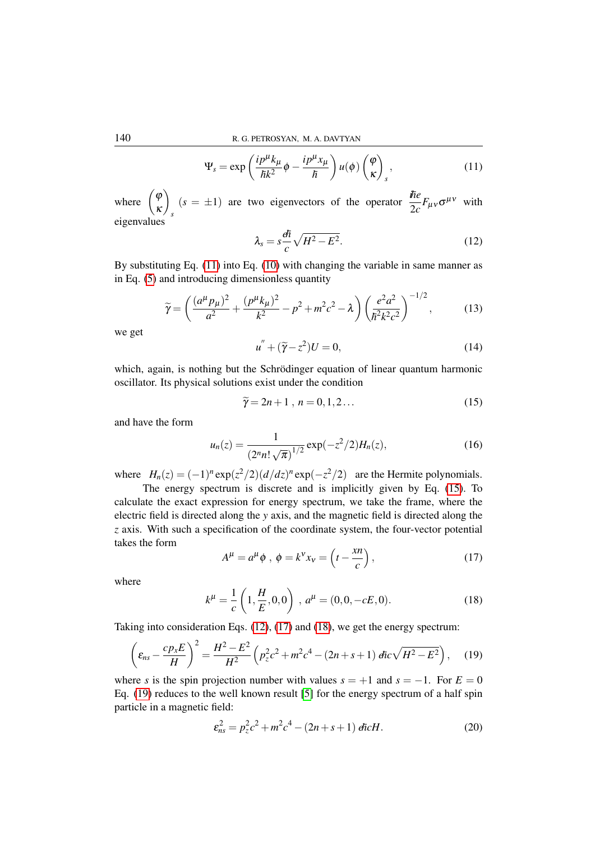<span id="page-2-0"></span>
$$
\Psi_s = \exp\left(\frac{ip^{\mu}k_{\mu}}{\hbar k^2}\phi - \frac{ip^{\mu}x_{\mu}}{\hbar}\right)u(\phi)\begin{pmatrix}\varphi\\ \kappa\end{pmatrix}_s,\tag{11}
$$

where  $\begin{pmatrix} \varphi \\ \varphi \end{pmatrix}$ κ  $\setminus$ *s*  $(s = \pm 1)$  are two eigenvectors of the operator  $\frac{\hbar e}{2c}F_{\mu\nu}\sigma^{\mu\nu}$  with eigenvalues

<span id="page-2-2"></span>
$$
\lambda_s = s \frac{d\bar{\hbar}}{c} \sqrt{H^2 - E^2}.
$$
\n(12)

By substituting Eq. [\(11\)](#page-2-0) into Eq. [\(10\)](#page-1-2) with changing the variable in same manner as in Eq. [\(5\)](#page-1-3) and introducing dimensionless quantity

$$
\widetilde{\gamma} = \left(\frac{(a^{\mu}p_{\mu})^2}{a^2} + \frac{(p^{\mu}k_{\mu})^2}{k^2} - p^2 + m^2c^2 - \lambda\right) \left(\frac{e^2a^2}{\hbar^2k^2c^2}\right)^{-1/2},\tag{13}
$$

we get

$$
u'' + (\widetilde{\gamma} - z^2)U = 0,\t\t(14)
$$

which, again, is nothing but the Schrödinger equation of linear quantum harmonic oscillator. Its physical solutions exist under the condition

<span id="page-2-1"></span>
$$
\widetilde{\gamma} = 2n + 1 \ , \ n = 0, 1, 2 \dots \tag{15}
$$

and have the form

$$
u_n(z) = \frac{1}{(2^n n! \sqrt{\pi})^{1/2}} \exp(-z^2/2) H_n(z), \tag{16}
$$

where  $H_n(z) = (-1)^n \exp(z^2/2) (d/dz)^n \exp(-z^2/2)$  are the Hermite polynomials.

The energy spectrum is discrete and is implicitly given by Eq. [\(15\)](#page-2-1). To calculate the exact expression for energy spectrum, we take the frame, where the electric field is directed along the *y* axis, and the magnetic field is directed along the *z* axis. With such a specification of the coordinate system, the four-vector potential takes the form

<span id="page-2-3"></span>
$$
A^{\mu} = a^{\mu} \phi , \ \phi = k^{\nu} x_{\nu} = \left( t - \frac{x n}{c} \right), \tag{17}
$$

where

<span id="page-2-4"></span>
$$
k^{\mu} = \frac{1}{c} \left( 1, \frac{H}{E}, 0, 0 \right) , a^{\mu} = (0, 0, -cE, 0). \tag{18}
$$

Taking into consideration Eqs. [\(12\)](#page-2-2), [\(17\)](#page-2-3) and [\(18\)](#page-2-4), we get the energy spectrum:

<span id="page-2-5"></span>
$$
\left(\varepsilon_{ns} - \frac{c p_x E}{H}\right)^2 = \frac{H^2 - E^2}{H^2} \left(p_z^2 c^2 + m^2 c^4 - (2n + s + 1) \, \text{div} \sqrt{H^2 - E^2}\right),\tag{19}
$$

where *s* is the spin projection number with values  $s = +1$  and  $s = -1$ . For  $E = 0$ Eq. [\(19\)](#page-2-5) reduces to the well known result [\[5\]](#page-3-5) for the energy spectrum of a half spin particle in a magnetic field:

$$
\varepsilon_{ns}^2 = p_z^2 c^2 + m^2 c^4 - (2n + s + 1) \tilde{\mathbf{q}} c H. \tag{20}
$$